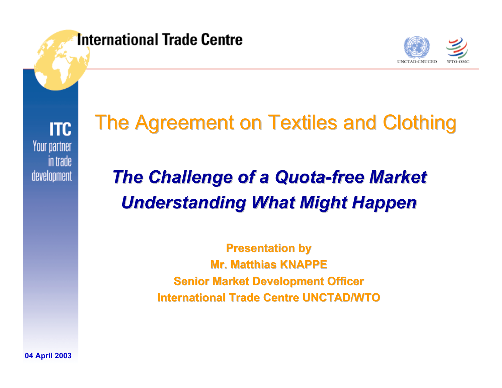

**ITC** Your partner in trade development

# The Agreement on Textiles and Clothing

# *The Challenge of a Quota The Challenge of a Quota-free Market free Market Understanding What Might Happen Understanding What Might Happen*

**Presentation by Mr. Matthias KNAPPE Mr. Matthias KNAPPESenior Market Development Officer International Trade Centre UNCTAD/WTO International Trade Centre UNCTAD/WTO**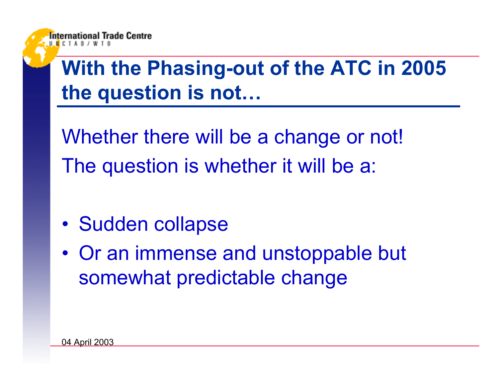# **With the Phasing-out of the ATC in 2005 the question is not…**

Whether there will be a change or not! The question is whether it will be a:

- •Sudden collapse
- $\bullet$  Or an immense and unstoppable but somewhat predictable change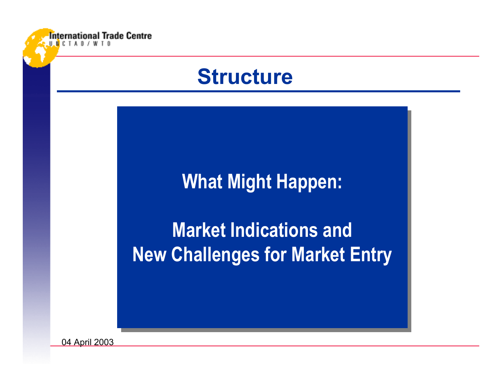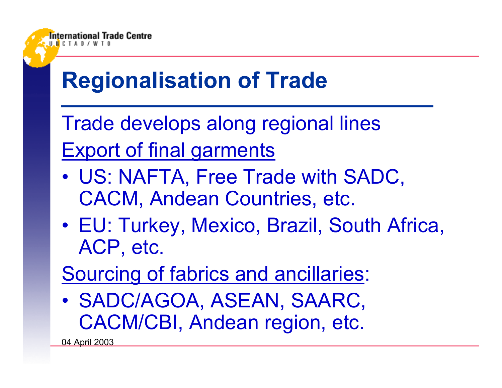

# **Regionalisation of Trade**

Trade develops along regional lines Export of final garments

- • US: NAFTA, Free Trade with SADC, CACM, Andean Countries, etc.
- • EU: Turkey, Mexico, Brazil, South Africa, ACP, etc.
- Sourcing of fabrics and ancillaries:
- • SADC/AGOA, ASEAN, SAARC, CACM/CBI, Andean region, etc.

04 April 2003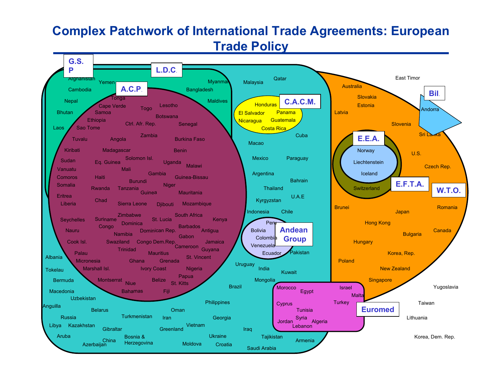#### **Complex Patchwork of International Trade Agreements: European Trade Policy**

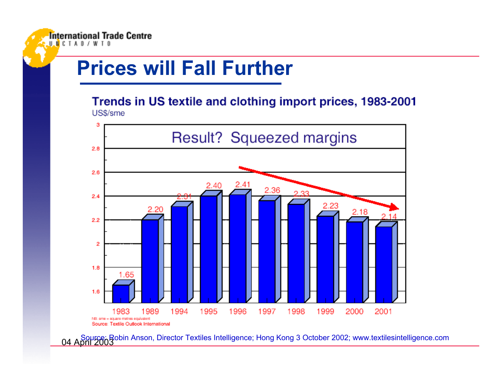## **Prices will Fall Further**

Trends in US textile and clothing import prices, 1983-2001 US\$/sme



04 April 2003 Source: Robin Anson, Director Textiles Intelligence; Hong Kong 3 October 2002; www.textilesintelligence.com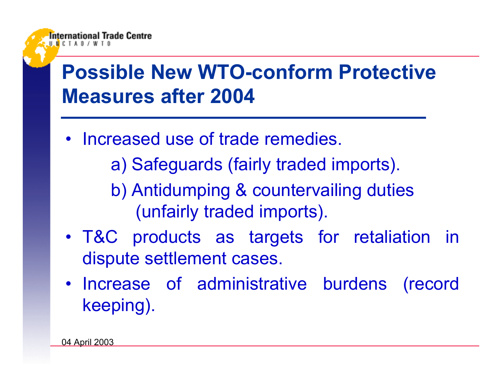# **Possible New WTO-conform Protective Measures after 2004**

• Increased use of trade remedies.

a) Safeguards (fairly traded imports).

b) Antidumping & countervailing duties (unfairly traded imports).

- T&C products as targets for retaliation in dispute settlement cases.
- Increase of administrative burdens (record keeping).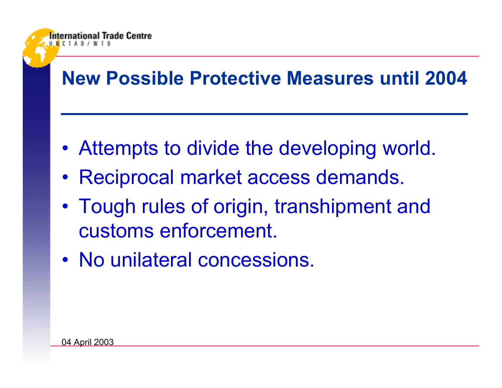#### **New Possible Protective Measures until 2004**

- Attempts to divide the developing world.
- Reciprocal market access demands.
- • Tough rules of origin, transhipment and customs enforcement.
- No unilateral concessions.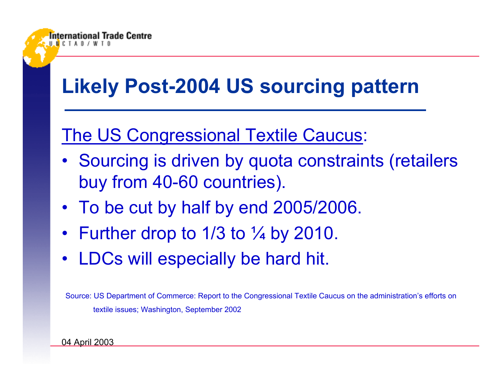

# **Likely Post-2004 US sourcing pattern**

#### The US Congressional Textile Caucus:

- Sourcing is driven by quota constraints (retailers buy from 40-60 countries).
- To be cut by half by end 2005/2006.
- Further drop to 1/3 to  $\frac{1}{4}$  by 2010.
- LDCs will especially be hard hit.

Source: US Department of Commerce: Report to the Congressional Textile Caucus on the administration's efforts on textile issues; Washington, September 2002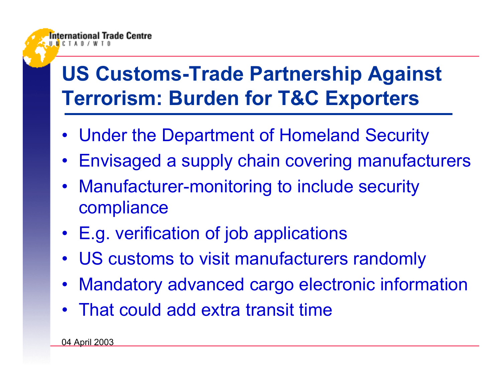# **US Customs-Trade Partnership Against Terrorism: Burden for T&C Exporters**

- Under the Department of Homeland Security
- Envisaged a supply chain covering manufacturers
- Manufacturer-monitoring to include security compliance
- E.g. verification of job applications
- US customs to visit manufacturers randomly
- Mandatory advanced cargo electronic information
- That could add extra transit time

04 April 2003

rnational Trade Centre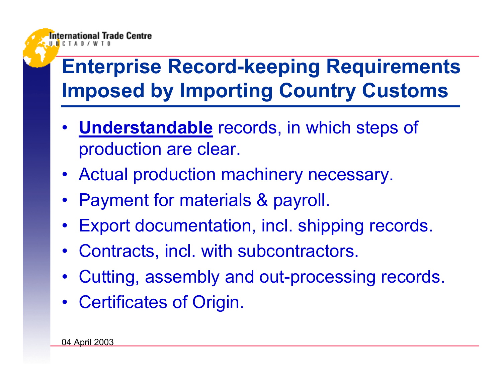

# **Enterprise Record-keeping Requirements Imposed by Importing Country Customs**

- **Understandable** records, in which steps of production are clear.
- Actual production machinery necessary.
- Payment for materials & payroll.
- Export documentation, incl. shipping records.
- Contracts, incl. with subcontractors.
- Cutting, assembly and out-processing records.
- Certificates of Origin.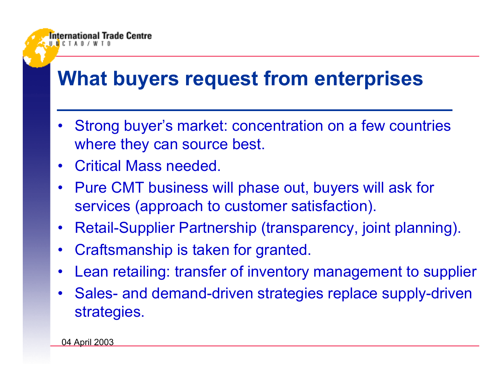## **What buyers request from enterprises**

- • Strong buyer's market: concentration on a few countries where they can source best.
- •Critical Mass needed.

International Trade Centre

- • Pure CMT business will phase out, buyers will ask for services (approach to customer satisfaction).
- •Retail-Supplier Partnership (transparency, joint planning).
- •Craftsmanship is taken for granted.
- •Lean retailing: transfer of inventory management to supplier
- • Sales- and demand-driven strategies replace supply-driven strategies.

04 April 2003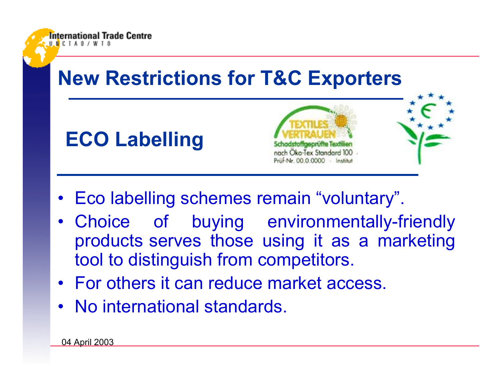

- •Eco labelling schemes remain "voluntary".
- • Choice of buying environmentally-friendly products serves those using it as a marketing tool to distinguish from competitors.
- For others it can reduce market access.
- No international standards.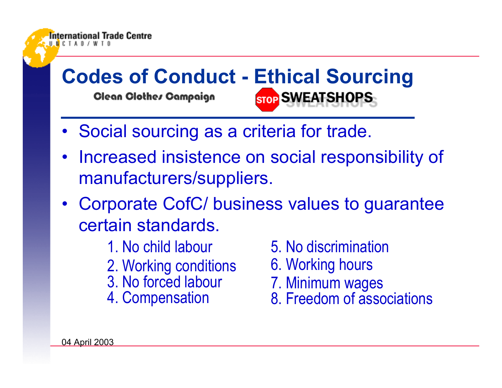

- 1. No child labour
- 2. Working conditions
- 3. No forced labour
- 4. Compensation
- 5. No discrimination
- 6. Working hours
- 7. Minimum wages
- 8. Freedom of associations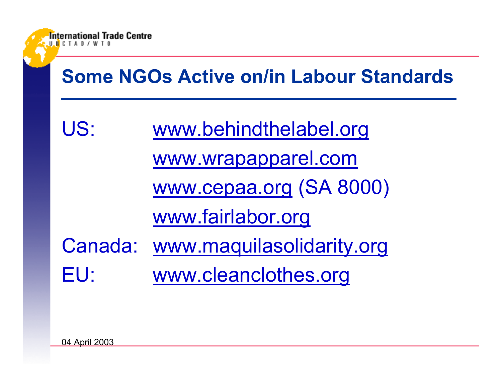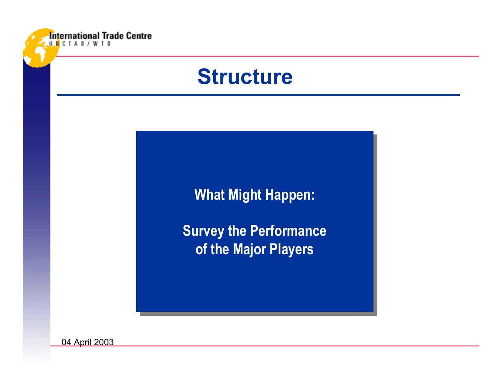

## **Structure**

**What Might Happen: What Might Happen:**

**Survey the Performance Survey the Performance of the Major Players of the Major Players**

04 April 2003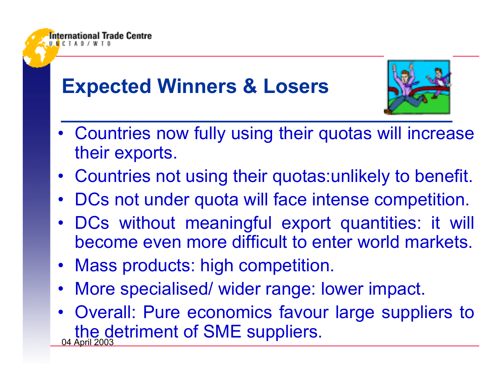# **Expected Winners & Losers**

national Trade Centre



- Countries now fully using their quotas will increase their exports.
- Countries not using their quotas:unlikely to benefit.
- •DCs not under quota will face intense competition.
- •DCs without meaningful export quantities: it will become even more difficult to enter world markets.
- •Mass products: high competition.
- •More specialised/ wider range: lower impact.
- <u>04 April 2003</u> • Overall: Pure economics favour large suppliers to the detriment of SME suppliers.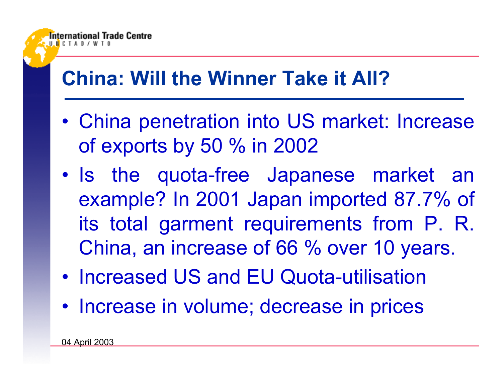## **China: Will the Winner Take it All?**

- • China penetration into US market: Increase of exports by 50 % in 2002
- • Is the quota-free Japanese market an example? In 2001 Japan imported 87.7% of its total garment requirements from P. R. China, an increase of 66 % over 10 years.
- $\bullet$ Increased US and EU Quota-utilisation
- Increase in volume; decrease in prices

**Trade Centre**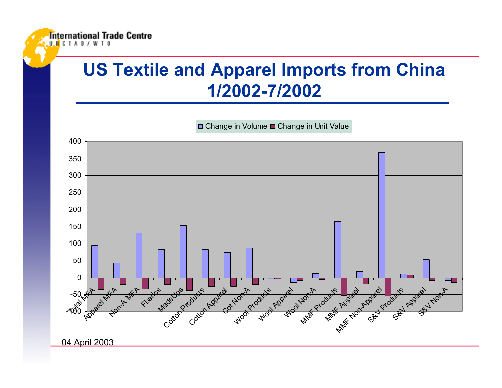#### **US Textile and Apparel Imports from China 1/2002-7/2002**

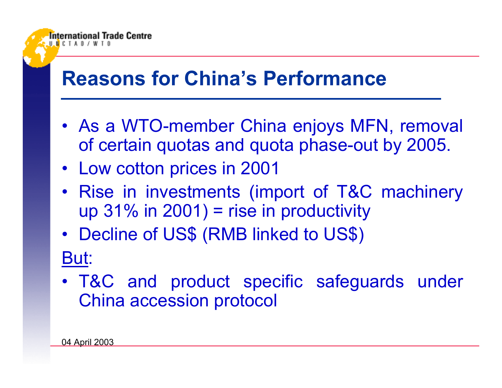## **Reasons for China's Performance**

- As a WTO-member China enjoys MFN, removal of certain quotas and quota phase-out by 2005.
- Low cotton prices in 2001
- Rise in investments (import of T&C machinery up 31% in 2001) = rise in productivity
- • Decline of US\$ (RMB linked to US\$) But:
- T&C and product specific safeguards under China accession protocol

International Trade Centre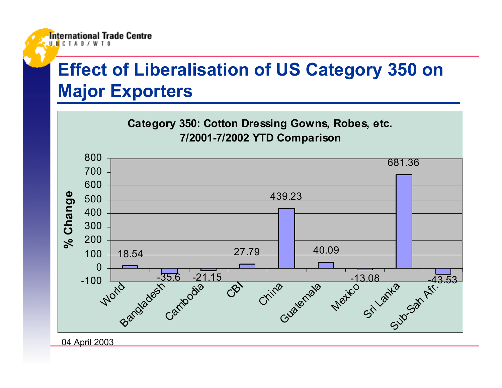#### **Effect of Liberalisation of US Category 350 on Major Exporters**

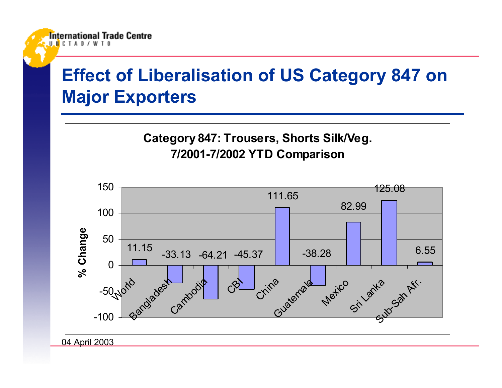#### **Effect of Liberalisation of US Category 847 on Major Exporters**



International Trade Centre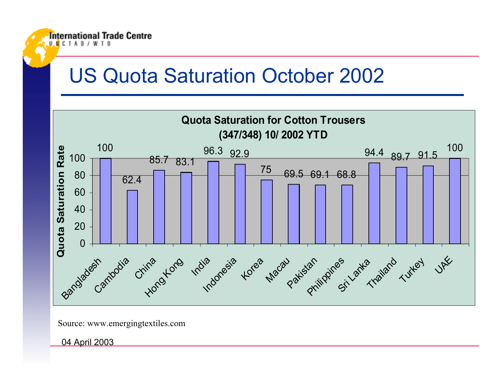### US Quota Saturation October 2002



Source: www.emergingtextiles.com

04 April 2003

**International Trade Centre** 

**H N C T A D /**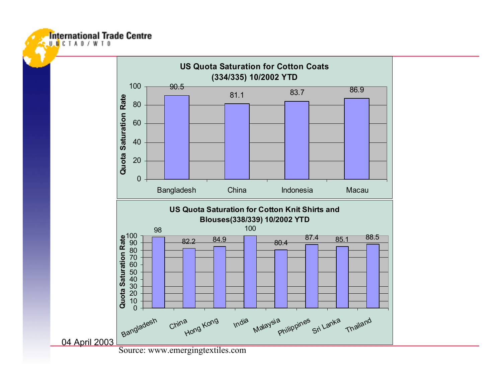**International Trade Centre** 



Source: www.emergingtextiles.com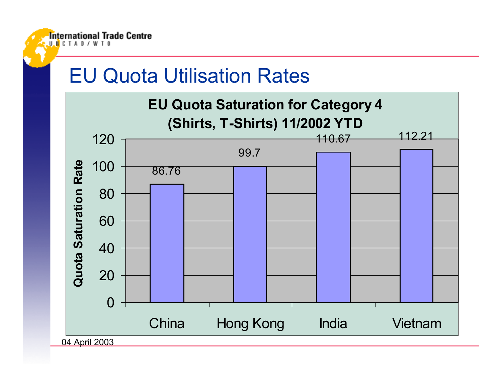#### EU Quota Utilisation Rates

**International Trade Centre** 

 $H$  **N**  $C$  **T**  $A$  **N**  $I$ 

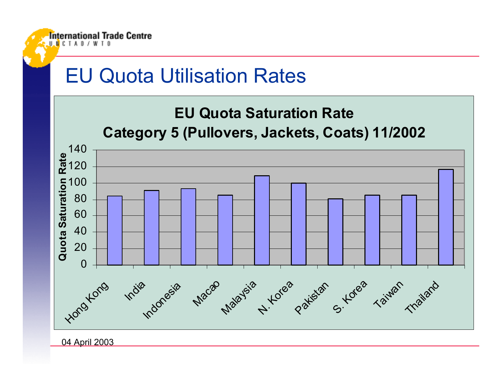#### EU Quota Utilisation Rates



04 April 2003

**International Trade Centre** 

HMCTAN